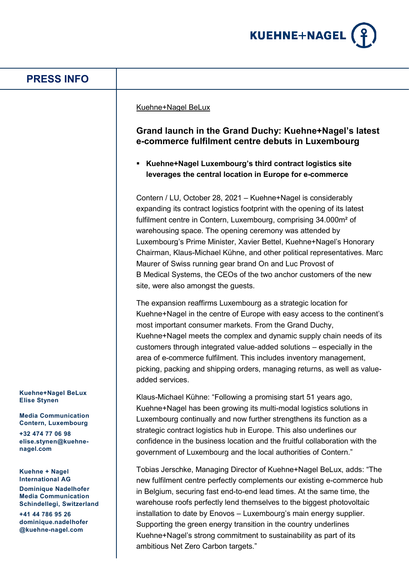

## **PRESS INFO**

## Kuehne+Nagel BeLux

## **Grand launch in the Grand Duchy: Kuehne+Nagel's latest e-commerce fulfilment centre debuts in Luxembourg**

 **Kuehne+Nagel Luxembourg's third contract logistics site leverages the central location in Europe for e-commerce**

Contern / LU, October 28, 2021 – Kuehne+Nagel is considerably expanding its contract logistics footprint with the opening of its latest fulfilment centre in Contern, Luxembourg, comprising 34.000m<sup>2</sup> of warehousing space. The opening ceremony was attended by Luxembourg's Prime Minister, Xavier Bettel, Kuehne+Nagel's Honorary Chairman, Klaus-Michael Kühne, and other political representatives. Marc Maurer of Swiss running gear brand On and Luc Provost of B Medical Systems, the CEOs of the two anchor customers of the new site, were also amongst the guests.

The expansion reaffirms Luxembourg as a strategic location for Kuehne+Nagel in the centre of Europe with easy access to the continent's most important consumer markets. From the Grand Duchy, Kuehne+Nagel meets the complex and dynamic supply chain needs of its customers through integrated value-added solutions – especially in the area of e-commerce fulfilment. This includes inventory management, picking, packing and shipping orders, managing returns, as well as valueadded services.

Klaus-Michael Kühne: "Following a promising start 51 years ago, Kuehne+Nagel has been growing its multi-modal logistics solutions in Luxembourg continually and now further strengthens its function as a strategic contract logistics hub in Europe. This also underlines our confidence in the business location and the fruitful collaboration with the government of Luxembourg and the local authorities of Contern."

Tobias Jerschke, Managing Director of Kuehne+Nagel BeLux, adds: "The new fulfilment centre perfectly complements our existing e-commerce hub in Belgium, securing fast end-to-end lead times. At the same time, the warehouse roofs perfectly lend themselves to the biggest photovoltaic installation to date by Enovos – Luxembourg's main energy supplier. Supporting the green energy transition in the country underlines Kuehne+Nagel's strong commitment to sustainability as part of its ambitious Net Zero Carbon targets."

**Kuehne+Nagel BeLux Elise Stynen**

**Media Communication Contern, Luxembourg**

**+32 474 77 06 98 elise.stynen@kuehnenagel.com**

**Kuehne + Nagel International AG**

**Dominique Nadelhofer Media Communication Schindellegi, Switzerland**

**+41 44 786 95 26 dominique.nadelhofer @kuehne-nagel.com**